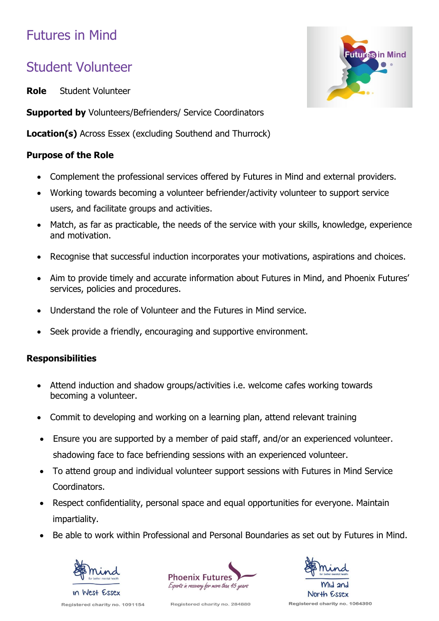# Futures in Mind

## Student Volunteer

**Role** Student Volunteer

FutureS in Mind

**Supported by** Volunteers/Befrienders/ Service Coordinators

**Location(s)** Across Essex (excluding Southend and Thurrock)

### **Purpose of the Role**

- Complement the professional services offered by Futures in Mind and external providers.
- Working towards becoming a volunteer befriender/activity volunteer to support service users, and facilitate groups and activities.
- Match, as far as practicable, the needs of the service with your skills, knowledge, experience and motivation.
- Recognise that successful induction incorporates your motivations, aspirations and choices.
- Aim to provide timely and accurate information about Futures in Mind, and Phoenix Futures' services, policies and procedures.
- Understand the role of Volunteer and the Futures in Mind service.
- Seek provide a friendly, encouraging and supportive environment.

### **Responsibilities**

- Attend induction and shadow groups/activities i.e. welcome cafes working towards becoming a volunteer.
- Commit to developing and working on a learning plan, attend relevant training
- Ensure you are supported by a member of paid staff, and/or an experienced volunteer. shadowing face to face befriending sessions with an experienced volunteer.
- To attend group and individual volunteer support sessions with Futures in Mind Service Coordinators.
- Respect confidentiality, personal space and equal opportunities for everyone. Maintain impartiality.
- Be able to work within Professional and Personal Boundaries as set out by Futures in Mind.



Registered charity no. 1091154





Registered charity no. 284880